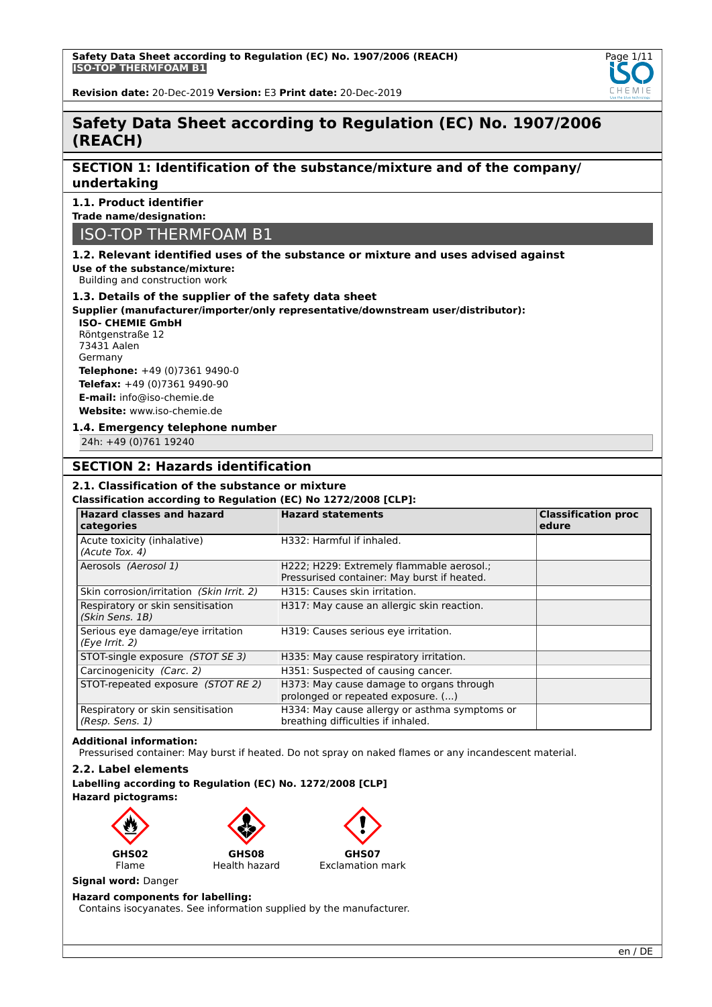

**Revision date:** 20-Dec-2019 **Version:** E3 **Print date:** 20-Dec-2019

# **Safety Data Sheet according to Regulation (EC) No. 1907/2006 (REACH)**

## **SECTION 1: Identification of the substance/mixture and of the company/ undertaking**

## **1.1. Product identifier**

**Trade name/designation:**

# ISO-TOP THERMFOAM B1

## **1.2. Relevant identified uses of the substance or mixture and uses advised against**

**Use of the substance/mixture:** Building and construction work

# **1.3. Details of the supplier of the safety data sheet**

**Supplier (manufacturer/importer/only representative/downstream user/distributor):**

### **ISO- CHEMIE GmbH** Röntgenstraße 12 73431 Aalen Germany **Telephone:** +49 (0)7361 9490-0 **Telefax:** +49 (0)7361 9490-90 **E-mail:** info@iso-chemie.de **Website:** www.iso-chemie.de

### **1.4. Emergency telephone number**

24h: +49 (0)761 19240

## **SECTION 2: Hazards identification**

## **2.1. Classification of the substance or mixture**

#### **Classification according to Regulation (EC) No 1272/2008 [CLP]:**

| <b>Hazard classes and hazard</b><br>categories       | <b>Hazard statements</b>                                                                 | <b>Classification proc</b><br>edure |  |
|------------------------------------------------------|------------------------------------------------------------------------------------------|-------------------------------------|--|
| Acute toxicity (inhalative)<br>(Acute Tox. 4)        | H332: Harmful if inhaled.                                                                |                                     |  |
| Aerosols (Aerosol 1)                                 | H222; H229: Extremely flammable aerosol.;<br>Pressurised container: May burst if heated. |                                     |  |
| Skin corrosion/irritation (Skin Irrit. 2)            | H315: Causes skin irritation.                                                            |                                     |  |
| Respiratory or skin sensitisation<br>(Skin Sens. 1B) | H317: May cause an allergic skin reaction.                                               |                                     |  |
| Serious eye damage/eye irritation<br>(Eye Irrit. 2)  | H319: Causes serious eye irritation.                                                     |                                     |  |
| STOT-single exposure (STOT SE 3)                     | H335: May cause respiratory irritation.                                                  |                                     |  |
| Carcinogenicity (Carc. 2)                            | H351: Suspected of causing cancer.                                                       |                                     |  |
| STOT-repeated exposure (STOT RE 2)                   | H373: May cause damage to organs through<br>prolonged or repeated exposure. ()           |                                     |  |
| Respiratory or skin sensitisation<br>(Resp. Sens. 1) | H334: May cause allergy or asthma symptoms or<br>breathing difficulties if inhaled.      |                                     |  |

#### **Additional information:**

Pressurised container: May burst if heated. Do not spray on naked flames or any incandescent material.

## **2.2. Label elements**

**Labelling according to Regulation (EC) No. 1272/2008 [CLP] Hazard pictograms:**



**Signal word:** Danger

## **Hazard components for labelling:**

Contains isocyanates. See information supplied by the manufacturer.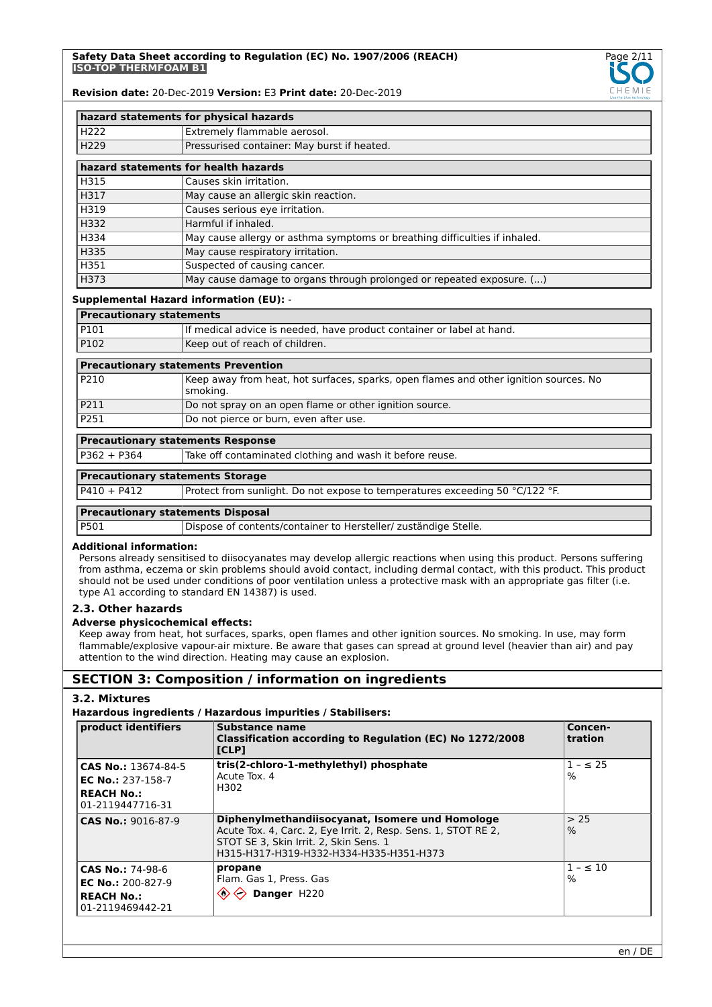

|                  | hazard statements for physical hazards                                     |
|------------------|----------------------------------------------------------------------------|
| H <sub>222</sub> | Extremely flammable aerosol.                                               |
| H <sub>229</sub> | Pressurised container: May burst if heated.                                |
|                  | hazard statements for health hazards                                       |
| H315             | Causes skin irritation.                                                    |
| H317             | May cause an allergic skin reaction.                                       |
| H319             | Causes serious eye irritation.                                             |
| H332             | Harmful if inhaled.                                                        |
| H334             | May cause allergy or asthma symptoms or breathing difficulties if inhaled. |
| H335             | May cause respiratory irritation.                                          |
| H351             | Suspected of causing cancer.                                               |
| H373             | May cause damage to organs through prolonged or repeated exposure. ()      |

#### **Supplemental Hazard information (EU):** -

| <b>Precautionary statements</b>            |                                                                       |  |
|--------------------------------------------|-----------------------------------------------------------------------|--|
| P101                                       | If medical advice is needed, have product container or label at hand. |  |
| P102                                       | Keep out of reach of children.                                        |  |
| <b>Precautionary statements Prevention</b> |                                                                       |  |

| P210 | Keep away from heat, hot surfaces, sparks, open flames and other ignition sources. No<br>smoking. |
|------|---------------------------------------------------------------------------------------------------|
| P211 | Do not spray on an open flame or other ignition source.                                           |
| P251 | Do not pierce or burn, even after use.                                                            |

## **Precautionary statements Response**

P362 + P364 Take off contaminated clothing and wash it before reuse.

## **Precautionary statements Storage**

P410 + P412 Protect from sunlight. Do not expose to temperatures exceeding 50 °C/122 °F.

#### **Precautionary statements Disposal**

P501 Dispose of contents/container to Hersteller/ zuständige Stelle.

#### **Additional information:**

Persons already sensitised to diisocyanates may develop allergic reactions when using this product. Persons suffering from asthma, eczema or skin problems should avoid contact, including dermal contact, with this product. This product should not be used under conditions of poor ventilation unless a protective mask with an appropriate gas filter (i.e. type A1 according to standard EN 14387) is used.

## **2.3. Other hazards**

### **Adverse physicochemical effects:**

Keep away from heat, hot surfaces, sparks, open flames and other ignition sources. No smoking. In use, may form flammable/explosive vapour-air mixture. Be aware that gases can spread at ground level (heavier than air) and pay attention to the wind direction. Heating may cause an explosion.

## **SECTION 3: Composition / information on ingredients**

## **3.2. Mixtures**

## **Hazardous ingredients / Hazardous impurities / Stabilisers:**

| product identifiers                                                                      | Substance name<br>Classification according to Regulation (EC) No 1272/2008<br><b>ICLPI</b>                                                                                                             | Concen-<br>tration    |
|------------------------------------------------------------------------------------------|--------------------------------------------------------------------------------------------------------------------------------------------------------------------------------------------------------|-----------------------|
| CAS No.: 13674-84-5<br><b>EC No.: 237-158-7</b><br><b>REACH No.:</b><br>01-2119447716-31 | tris(2-chloro-1-methylethyl) phosphate<br>Acute Tox. 4<br>H302                                                                                                                                         | $1 - \leq 25$<br>$\%$ |
| CAS No.: 9016-87-9                                                                       | Diphenylmethandiisocyanat, Isomere und Homologe<br>Acute Tox. 4, Carc. 2, Eye Irrit. 2, Resp. Sens. 1, STOT RE 2,<br>STOT SE 3, Skin Irrit. 2, Skin Sens. 1<br>H315-H317-H319-H332-H334-H335-H351-H373 | > 25<br>$\%$          |
| CAS No.: 74-98-6<br>EC No.: $200 - 827 - 9$<br><b>REACH No.:</b><br>01-2119469442-21     | propane<br>Flam. Gas 1, Press. Gas<br>$\Leftrightarrow$ Danger H220                                                                                                                                    | $1 - 10$<br>$\%$      |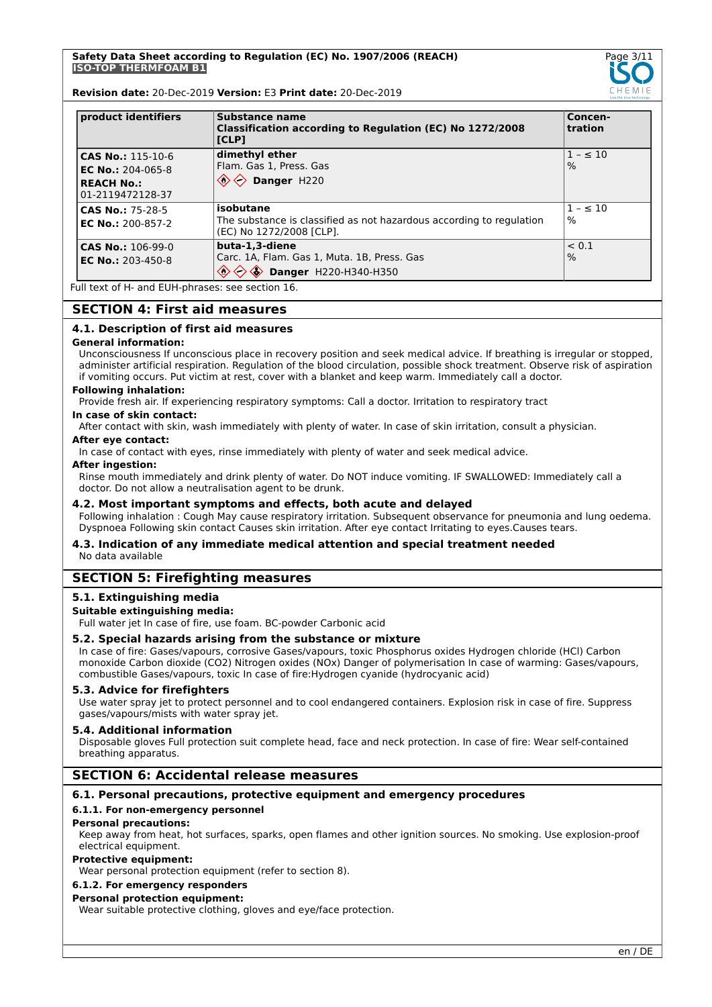

**Revision date:** 20-Dec-2019 **Version:** E3 **Print date:** 20-Dec-2019

| product identifiers                                                                      | Substance name<br>Classification according to Regulation (EC) No 1272/2008<br>[CLP]                           | Concen-<br>tration |
|------------------------------------------------------------------------------------------|---------------------------------------------------------------------------------------------------------------|--------------------|
| <b>CAS No.: 115-10-6</b><br>EC No.: $204-065-8$<br><b>REACH No.:</b><br>01-2119472128-37 | dimethyl ether<br>Flam. Gas 1, Press. Gas<br>$\textcircled{2}$ Danger H220                                    | $1 - 510$<br>$\%$  |
| <b>CAS No.: 75-28-5</b><br><b>EC No.: 200-857-2</b>                                      | isobutane<br>The substance is classified as not hazardous according to regulation<br>(EC) No 1272/2008 [CLP]. | $1 - 510$<br>%     |
| <b>CAS No.: 106-99-0</b><br>EC No.: $203-450-8$                                          | buta-1.3-diene<br>Carc. 1A, Flam. Gas 1, Muta. 1B, Press. Gas<br><b>Danger</b> H220-H340-H350                 | < 0.1<br>$\%$      |

Full text of H- and EUH-phrases: see section 16.

## **SECTION 4: First aid measures**

### **4.1. Description of first aid measures**

#### **General information:**

Unconsciousness If unconscious place in recovery position and seek medical advice. If breathing is irregular or stopped, administer artificial respiration. Regulation of the blood circulation, possible shock treatment. Observe risk of aspiration if vomiting occurs. Put victim at rest, cover with a blanket and keep warm. Immediately call a doctor.

### **Following inhalation:**

Provide fresh air. If experiencing respiratory symptoms: Call a doctor. Irritation to respiratory tract

#### **In case of skin contact:**

After contact with skin, wash immediately with plenty of water. In case of skin irritation, consult a physician.

### **After eye contact:**

In case of contact with eyes, rinse immediately with plenty of water and seek medical advice.

#### **After ingestion:**

Rinse mouth immediately and drink plenty of water. Do NOT induce vomiting. IF SWALLOWED: Immediately call a doctor. Do not allow a neutralisation agent to be drunk.

## **4.2. Most important symptoms and effects, both acute and delayed**

Following inhalation : Cough May cause respiratory irritation. Subsequent observance for pneumonia and lung oedema. Dyspnoea Following skin contact Causes skin irritation. After eye contact Irritating to eyes.Causes tears.

#### **4.3. Indication of any immediate medical attention and special treatment needed** No data available

## **SECTION 5: Firefighting measures**

### **5.1. Extinguishing media**

#### **Suitable extinguishing media:**

Full water jet In case of fire, use foam. BC-powder Carbonic acid

#### **5.2. Special hazards arising from the substance or mixture**

In case of fire: Gases/vapours, corrosive Gases/vapours, toxic Phosphorus oxides Hydrogen chloride (HCl) Carbon monoxide Carbon dioxide (CO2) Nitrogen oxides (NOx) Danger of polymerisation In case of warming: Gases/vapours, combustible Gases/vapours, toxic In case of fire:Hydrogen cyanide (hydrocyanic acid)

### **5.3. Advice for firefighters**

Use water spray jet to protect personnel and to cool endangered containers. Explosion risk in case of fire. Suppress gases/vapours/mists with water spray jet.

#### **5.4. Additional information**

Disposable gloves Full protection suit complete head, face and neck protection. In case of fire: Wear self-contained breathing apparatus.

## **SECTION 6: Accidental release measures**

### **6.1. Personal precautions, protective equipment and emergency procedures**

#### **6.1.1. For non-emergency personnel**

#### **Personal precautions:**

Keep away from heat, hot surfaces, sparks, open flames and other ignition sources. No smoking. Use explosion-proof electrical equipment.

#### **Protective equipment:**

Wear personal protection equipment (refer to section 8).

## **6.1.2. For emergency responders**

## **Personal protection equipment:**

Wear suitable protective clothing, gloves and eye/face protection.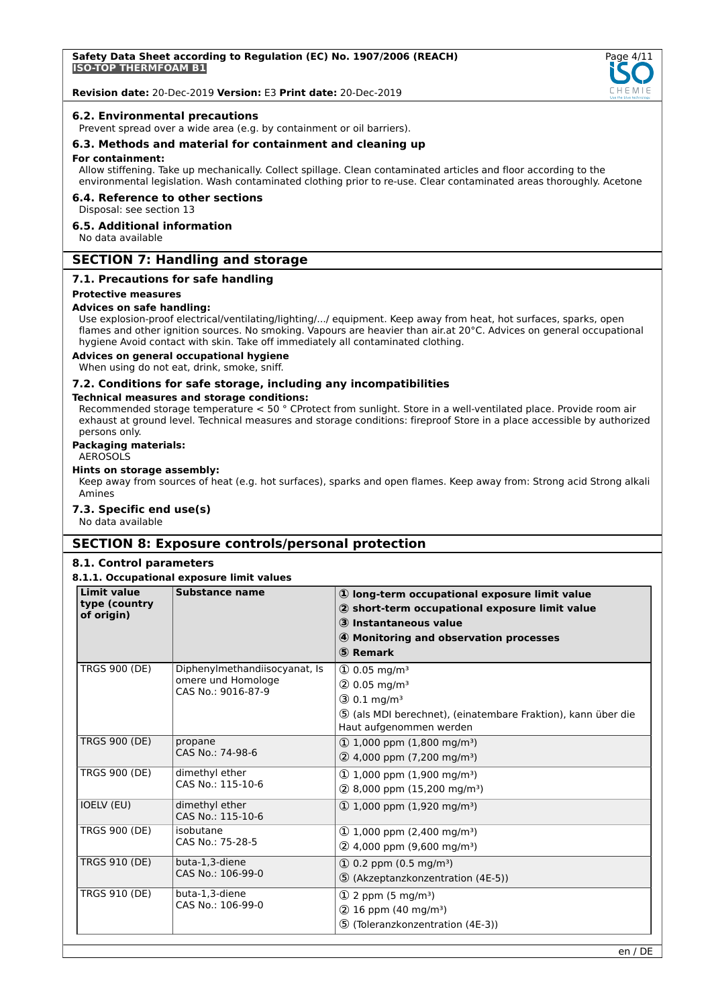

#### **6.2. Environmental precautions**

Prevent spread over a wide area (e.g. by containment or oil barriers).

**6.3. Methods and material for containment and cleaning up**

#### **For containment:**

Allow stiffening. Take up mechanically. Collect spillage. Clean contaminated articles and floor according to the environmental legislation. Wash contaminated clothing prior to re-use. Clear contaminated areas thoroughly. Acetone

## **6.4. Reference to other sections**

Disposal: see section 13

## **6.5. Additional information**

No data available

# **SECTION 7: Handling and storage**

#### **7.1. Precautions for safe handling**

## **Protective measures**

## **Advices on safe handling:**

Use explosion-proof electrical/ventilating/lighting/.../ equipment. Keep away from heat, hot surfaces, sparks, open flames and other ignition sources. No smoking. Vapours are heavier than air.at 20°C. Advices on general occupational hygiene Avoid contact with skin. Take off immediately all contaminated clothing.

## **Advices on general occupational hygiene**

When using do not eat, drink, smoke, sniff.

## **7.2. Conditions for safe storage, including any incompatibilities**

#### **Technical measures and storage conditions:**

Recommended storage temperature < 50 ° CProtect from sunlight. Store in a well-ventilated place. Provide room air exhaust at ground level. Technical measures and storage conditions: fireproof Store in a place accessible by authorized persons only.

### **Packaging materials:**

#### AEROSOLS

#### **Hints on storage assembly:**

Keep away from sources of heat (e.g. hot surfaces), sparks and open flames. Keep away from: Strong acid Strong alkali Amines

#### **7.3. Specific end use(s)**

No data available

## **SECTION 8: Exposure controls/personal protection**

#### **8.1. Control parameters**

#### **8.1.1. Occupational exposure limit values**

| <b>Limit value</b><br>type (country<br>of origin) | <b>Substance name</b>                                                     | 10 long-term occupational exposure limit value<br>2 short-term occupational exposure limit value<br>3 Instantaneous value<br>4 Monitoring and observation processes<br>5 Remark                    |
|---------------------------------------------------|---------------------------------------------------------------------------|----------------------------------------------------------------------------------------------------------------------------------------------------------------------------------------------------|
| <b>TRGS 900 (DE)</b>                              | Diphenylmethandiisocyanat, Is<br>omere und Homologe<br>CAS No.: 9016-87-9 | $\textcircled{1}$ 0.05 mg/m <sup>3</sup><br>$(2)$ 0.05 mg/m <sup>3</sup><br>$(3) 0.1$ mg/m <sup>3</sup><br>5 (als MDI berechnet), (einatembare Fraktion), kann über die<br>Haut aufgenommen werden |
| <b>TRGS 900 (DE)</b>                              | propane<br>CAS No.: 74-98-6                                               | $\Omega$ 1,000 ppm (1,800 mg/m <sup>3</sup> )<br>2 4,000 ppm (7,200 mg/m <sup>3</sup> )                                                                                                            |
| <b>TRGS 900 (DE)</b>                              | dimethyl ether<br>CAS No.: 115-10-6                                       | $\Omega$ 1,000 ppm (1,900 mg/m <sup>3</sup> )<br>$(2)$ 8,000 ppm (15,200 mg/m <sup>3</sup> )                                                                                                       |
| <b>IOELV (EU)</b>                                 | dimethyl ether<br>CAS No.: 115-10-6                                       | $\Omega$ 1,000 ppm (1,920 mg/m <sup>3</sup> )                                                                                                                                                      |
| <b>TRGS 900 (DE)</b>                              | isobutane<br>CAS No.: 75-28-5                                             | $\Omega$ 1,000 ppm (2,400 mg/m <sup>3</sup> )<br>2 4,000 ppm (9,600 mg/m <sup>3</sup> )                                                                                                            |
| <b>TRGS 910 (DE)</b>                              | buta-1,3-diene<br>CAS No.: 106-99-0                                       | $\Omega$ 0.2 ppm (0.5 mg/m <sup>3</sup> )<br>5 (Akzeptanzkonzentration (4E-5))                                                                                                                     |
| <b>TRGS 910 (DE)</b>                              | buta-1,3-diene<br>CAS No.: 106-99-0                                       | $(1)$ 2 ppm (5 mg/m <sup>3</sup> )<br>$(2)$ 16 ppm (40 mg/m <sup>3</sup> )<br>5 (Toleranzkonzentration (4E-3))                                                                                     |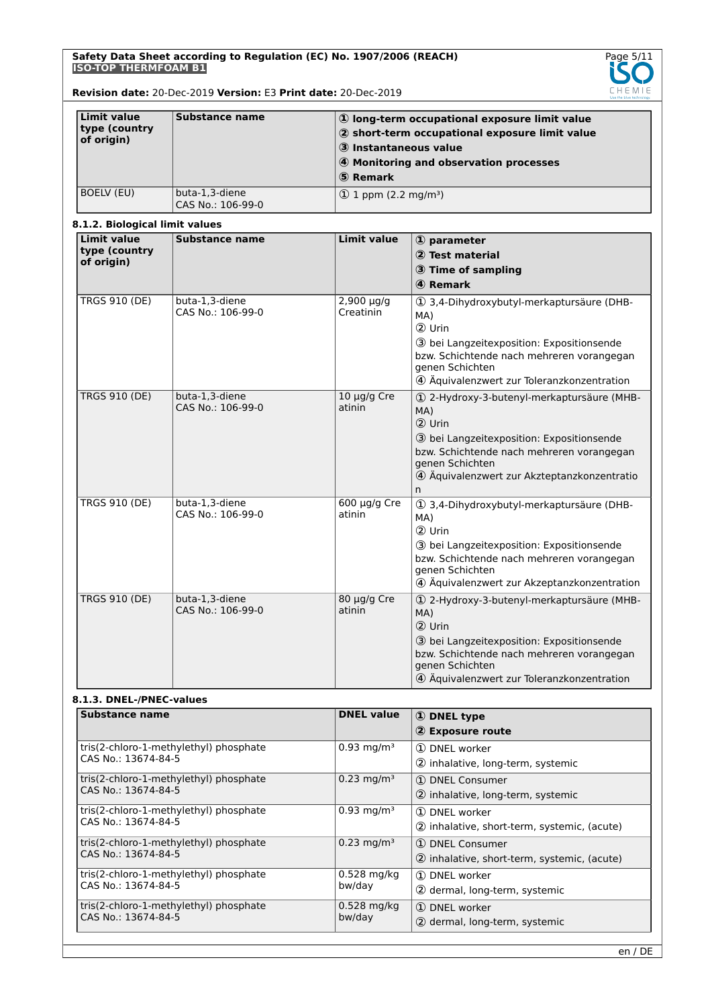

## **Revision date:** 20-Dec-2019 **Version:** E3 **Print date:** 20-Dec-2019

| Limit value<br>type (country<br>of origin) | Substance name                      | 1) long-term occupational exposure limit value<br>2 short-term occupational exposure limit value<br>3 Instantaneous value<br>4 Monitoring and observation processes<br>5 Remark |
|--------------------------------------------|-------------------------------------|---------------------------------------------------------------------------------------------------------------------------------------------------------------------------------|
| <b>BOELV (EU)</b>                          | buta-1,3-diene<br>CAS No.: 106-99-0 | $(1)$ 1 ppm $(2.2 \text{ mg/m}^3)$                                                                                                                                              |

## **8.1.2. Biological limit values**

| <b>Limit value</b>   | 911121 Diviogical IIIIII valdes<br><b>Substance name</b> | <b>Limit value</b>           | $\Phi$ parameter                                                                                                                                                                                                             |
|----------------------|----------------------------------------------------------|------------------------------|------------------------------------------------------------------------------------------------------------------------------------------------------------------------------------------------------------------------------|
| type (country        |                                                          |                              | 2 Test material                                                                                                                                                                                                              |
| of origin)           |                                                          |                              |                                                                                                                                                                                                                              |
|                      |                                                          |                              | 3 Time of sampling                                                                                                                                                                                                           |
|                      |                                                          |                              | 4 Remark                                                                                                                                                                                                                     |
| <b>TRGS 910 (DE)</b> | buta-1,3-diene<br>CAS No.: 106-99-0                      | $2,900 \mu q/q$<br>Creatinin | 1 3,4-Dihydroxybutyl-merkaptursäure (DHB-<br>MA)<br>2 Urin<br>3 bei Langzeitexposition: Expositionsende<br>bzw. Schichtende nach mehreren vorangegan<br>genen Schichten<br>4 Äquivalenzwert zur Toleranzkonzentration        |
| <b>TRGS 910 (DE)</b> | buta-1,3-diene<br>CAS No.: 106-99-0                      | 10 µg/g Cre<br>atinin        | 1 2-Hydroxy-3-butenyl-merkaptursäure (MHB-<br>MA)<br>2 Urin<br>3 bei Langzeitexposition: Expositionsende<br>bzw. Schichtende nach mehreren vorangegan<br>genen Schichten<br>4 Äquivalenzwert zur Akzteptanzkonzentratio<br>n |
| <b>TRGS 910 (DE)</b> | buta-1,3-diene<br>CAS No.: 106-99-0                      | $600 \mu g/g$ Cre<br>atinin  | 1 3,4-Dihydroxybutyl-merkaptursäure (DHB-<br>MA)<br>2 Urin<br>3 bei Langzeitexposition: Expositionsende<br>bzw. Schichtende nach mehreren vorangegan<br>genen Schichten<br>4 Äquivalenzwert zur Akzeptanzkonzentration       |
| <b>TRGS 910 (DE)</b> | buta-1,3-diene<br>CAS No.: 106-99-0                      | $80 \mu g/g$ Cre<br>atinin   | 1 2-Hydroxy-3-butenyl-merkaptursäure (MHB-<br>MA)<br>2 Urin<br>3 bei Langzeitexposition: Expositionsende<br>bzw. Schichtende nach mehreren vorangegan<br>genen Schichten<br>4 Äquivalenzwert zur Toleranzkonzentration       |

## **8.1.3. DNEL-/PNEC-values**

| Substance name                                                | <b>DNEL value</b>        | <b>1</b> DNEL type                                               |
|---------------------------------------------------------------|--------------------------|------------------------------------------------------------------|
|                                                               |                          | 2 Exposure route                                                 |
| tris(2-chloro-1-methylethyl) phosphate<br>CAS No.: 13674-84-5 | $0.93$ mg/m <sup>3</sup> | 1 DNEL worker<br>2 inhalative, long-term, systemic               |
| tris(2-chloro-1-methylethyl) phosphate<br>CAS No.: 13674-84-5 | $0.23$ mg/m <sup>3</sup> | 1 DNEL Consumer<br>2 inhalative, long-term, systemic             |
| tris(2-chloro-1-methylethyl) phosphate<br>CAS No.: 13674-84-5 | $0.93 \text{ mg/m}^3$    | 1 DNEL worker<br>2 inhalative, short-term, systemic, (acute)     |
| tris(2-chloro-1-methylethyl) phosphate<br>CAS No.: 13674-84-5 | $0.23 \,\mathrm{mg/m^3}$ | (1) DNEL Consumer<br>2 inhalative, short-term, systemic, (acute) |
| tris(2-chloro-1-methylethyl) phosphate<br>CAS No.: 13674-84-5 | $0.528$ mg/kg<br>bw/day  | (1) DNEL worker<br>2 dermal, long-term, systemic                 |
| tris(2-chloro-1-methylethyl) phosphate<br>CAS No.: 13674-84-5 | $0.528$ mg/kg<br>bw/day  | 1 DNEL worker<br>2 dermal, long-term, systemic                   |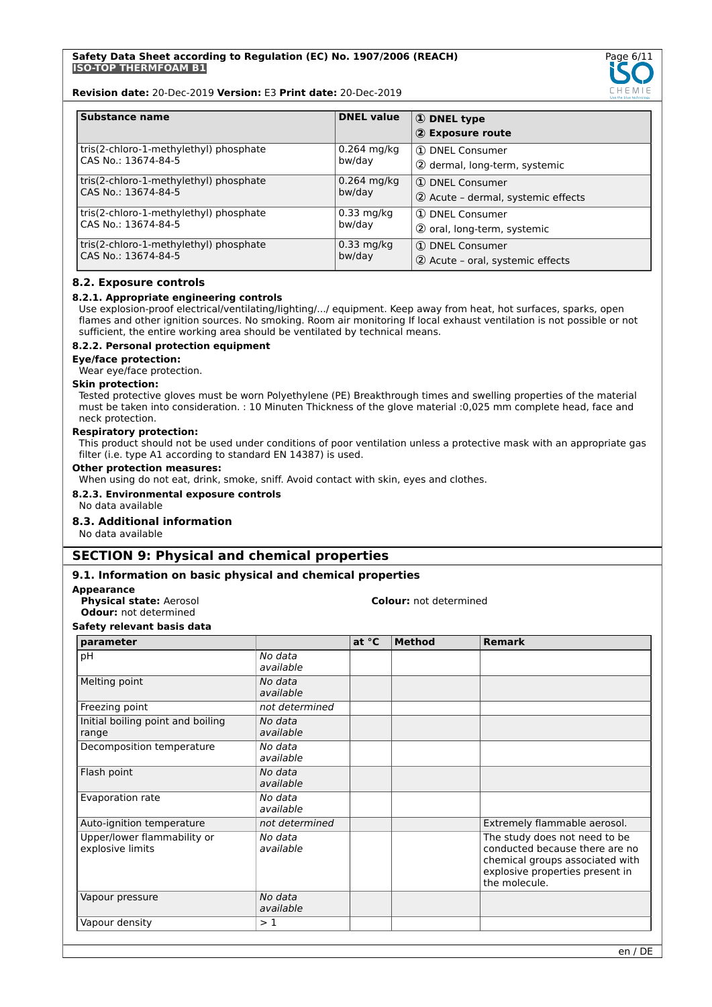

**Revision date:** 20-Dec-2019 **Version:** E3 **Print date:** 20-Dec-2019

| <b>Substance name</b>                  | <b>DNEL value</b> | 1 DNEL type<br>2 Exposure route    |
|----------------------------------------|-------------------|------------------------------------|
| tris(2-chloro-1-methylethyl) phosphate | $0.264$ mg/kg     | 1 DNEL Consumer                    |
| CAS No.: 13674-84-5                    | bw/day            | 2 dermal, long-term, systemic      |
| tris(2-chloro-1-methylethyl) phosphate | $0.264$ mg/kg     | 1 DNEL Consumer                    |
| CAS No.: 13674-84-5                    | bw/day            | 2 Acute - dermal, systemic effects |
| tris(2-chloro-1-methylethyl) phosphate | $0.33$ mg/kg      | 1 DNEL Consumer                    |
| CAS No.: 13674-84-5                    | bw/day            | 2 oral, long-term, systemic        |
| tris(2-chloro-1-methylethyl) phosphate | $0.33$ mg/kg      | 1 DNEL Consumer                    |
| CAS No.: 13674-84-5                    | bw/day            | (2) Acute - oral, systemic effects |

## **8.2. Exposure controls**

## **8.2.1. Appropriate engineering controls**

Use explosion-proof electrical/ventilating/lighting/.../ equipment. Keep away from heat, hot surfaces, sparks, open flames and other ignition sources. No smoking. Room air monitoring If local exhaust ventilation is not possible or not sufficient, the entire working area should be ventilated by technical means.

#### **8.2.2. Personal protection equipment**

#### **Eye/face protection:**

Wear eye/face protection.

#### **Skin protection:**

Tested protective gloves must be worn Polyethylene (PE) Breakthrough times and swelling properties of the material must be taken into consideration. : 10 Minuten Thickness of the glove material :0,025 mm complete head, face and neck protection.

#### **Respiratory protection:**

This product should not be used under conditions of poor ventilation unless a protective mask with an appropriate gas filter (i.e. type A1 according to standard EN 14387) is used.

## **Other protection measures:**

When using do not eat, drink, smoke, sniff. Avoid contact with skin, eyes and clothes.

### **8.2.3. Environmental exposure controls**

No data available

## **8.3. Additional information**

No data available

## **SECTION 9: Physical and chemical properties**

## **9.1. Information on basic physical and chemical properties**

#### **Appearance**

**Odour:** not determined

#### **Physical state:** Aerosol **Colour:** not determined

**Safety relevant basis data**

| parameter                                       |                      | at °C | <b>Method</b> | <b>Remark</b>                                                                                                                                          |
|-------------------------------------------------|----------------------|-------|---------------|--------------------------------------------------------------------------------------------------------------------------------------------------------|
| pH                                              | No data<br>available |       |               |                                                                                                                                                        |
| Melting point                                   | No data<br>available |       |               |                                                                                                                                                        |
| Freezing point                                  | not determined       |       |               |                                                                                                                                                        |
| Initial boiling point and boiling<br>range      | No data<br>available |       |               |                                                                                                                                                        |
| Decomposition temperature                       | No data<br>available |       |               |                                                                                                                                                        |
| Flash point                                     | No data<br>available |       |               |                                                                                                                                                        |
| Evaporation rate                                | No data<br>available |       |               |                                                                                                                                                        |
| Auto-ignition temperature                       | not determined       |       |               | Extremely flammable aerosol.                                                                                                                           |
| Upper/lower flammability or<br>explosive limits | No data<br>available |       |               | The study does not need to be<br>conducted because there are no<br>chemical groups associated with<br>explosive properties present in<br>the molecule. |
| Vapour pressure                                 | No data<br>available |       |               |                                                                                                                                                        |
| Vapour density                                  | >1                   |       |               |                                                                                                                                                        |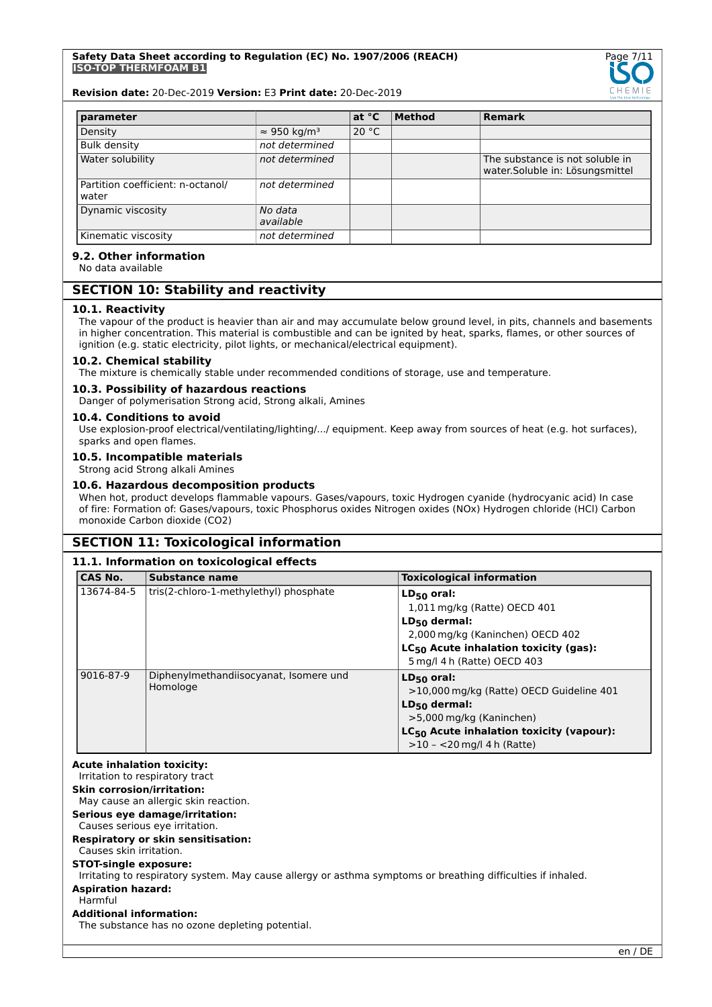

#### **Revision date:** 20-Dec-2019 **Version:** E3 **Print date:** 20-Dec-2019

| parameter                                  |                                 | at $^{\circ}$ C | <b>Method</b> | <b>Remark</b>                                                       |
|--------------------------------------------|---------------------------------|-----------------|---------------|---------------------------------------------------------------------|
| Density                                    | $\approx$ 950 kg/m <sup>3</sup> | 20 °C           |               |                                                                     |
| <b>Bulk density</b>                        | not determined                  |                 |               |                                                                     |
| Water solubility                           | not determined                  |                 |               | The substance is not soluble in<br>water. Soluble in: Lösungsmittel |
| Partition coefficient: n-octanol/<br>water | not determined                  |                 |               |                                                                     |
| Dynamic viscosity                          | No data<br>available            |                 |               |                                                                     |
| Kinematic viscosity                        | not determined                  |                 |               |                                                                     |

# **9.2. Other information**

No data available

## **SECTION 10: Stability and reactivity**

### **10.1. Reactivity**

The vapour of the product is heavier than air and may accumulate below ground level, in pits, channels and basements in higher concentration. This material is combustible and can be ignited by heat, sparks, flames, or other sources of ignition (e.g. static electricity, pilot lights, or mechanical/electrical equipment).

#### **10.2. Chemical stability**

The mixture is chemically stable under recommended conditions of storage, use and temperature.

#### **10.3. Possibility of hazardous reactions**

Danger of polymerisation Strong acid, Strong alkali, Amines

### **10.4. Conditions to avoid**

Use explosion-proof electrical/ventilating/lighting/.../ equipment. Keep away from sources of heat (e.g. hot surfaces), sparks and open flames.

## **10.5. Incompatible materials**

Strong acid Strong alkali Amines

#### **10.6. Hazardous decomposition products**

When hot, product develops flammable vapours. Gases/vapours, toxic Hydrogen cyanide (hydrocyanic acid) In case of fire: Formation of: Gases/vapours, toxic Phosphorus oxides Nitrogen oxides (NOx) Hydrogen chloride (HCl) Carbon monoxide Carbon dioxide (CO2)

## **SECTION 11: Toxicological information**

## **11.1. Information on toxicological effects**

| <b>CAS No.</b> | <b>Substance name</b>                  | <b>Toxicological information</b>                  |
|----------------|----------------------------------------|---------------------------------------------------|
| 13674-84-5     | tris(2-chloro-1-methylethyl) phosphate | $LD_{50}$ oral:                                   |
|                |                                        | 1,011 mg/kg (Ratte) OECD 401                      |
|                |                                        | $LD_{50}$ dermal:                                 |
|                |                                        | 2,000 mg/kg (Kaninchen) OECD 402                  |
|                |                                        | LC <sub>50</sub> Acute inhalation toxicity (gas): |
|                |                                        | 5 mg/l 4 h (Ratte) OECD 403                       |
| 9016-87-9      | Diphenylmethandiisocyanat, Isomere und | $LD_{50}$ oral:                                   |
|                | Homologe                               | >10,000 mg/kg (Ratte) OECD Guideline 401          |
|                |                                        | $LD_{50}$ dermal:                                 |
|                |                                        | >5,000 mg/kg (Kaninchen)                          |
|                |                                        | $LC_{50}$ Acute inhalation toxicity (vapour):     |
|                |                                        | $>10 - 20$ mg/l 4 h (Ratte)                       |

| <b>Acute inhalation toxicity:</b><br>Irritation to respiratory tract                                                                         |
|----------------------------------------------------------------------------------------------------------------------------------------------|
| <b>Skin corrosion/irritation:</b><br>May cause an allergic skin reaction.                                                                    |
| Serious eye damage/irritation:<br>Causes serious eye irritation.                                                                             |
| Respiratory or skin sensitisation:<br>Causes skin irritation.                                                                                |
| <b>STOT-single exposure:</b><br>Irritating to respiratory system. May cause allergy or asthma symptoms or breathing difficulties if inhaled. |
| <b>Aspiration hazard:</b><br>Harmful                                                                                                         |
| <b>Additional information:</b><br>The substance has no ozone depleting potential.                                                            |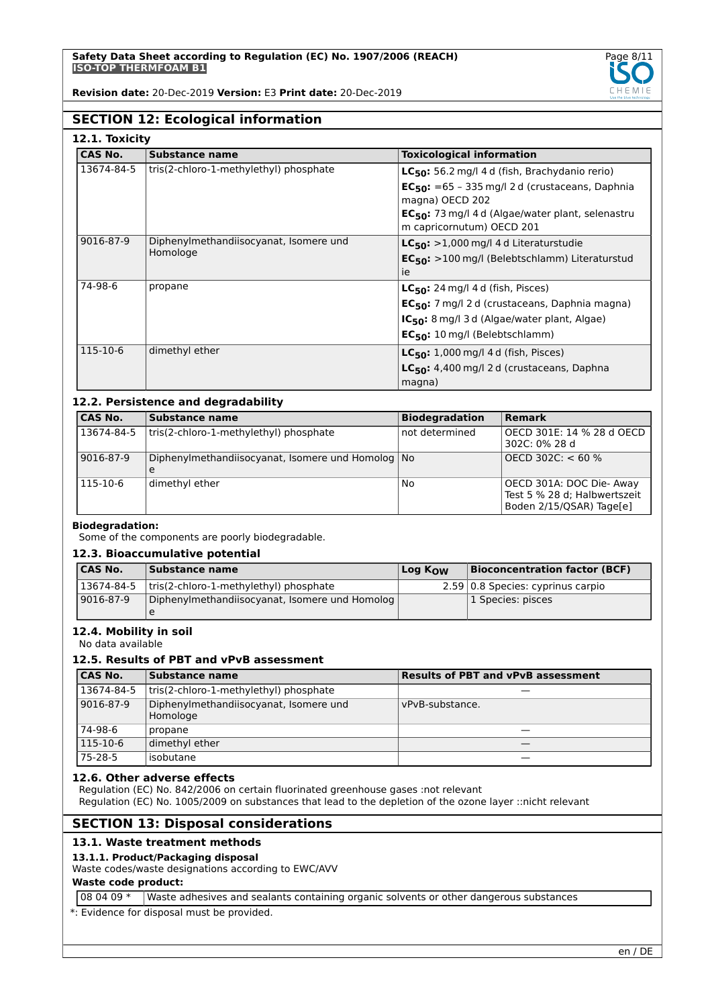

## **SECTION 12: Ecological information**

| CAS No.    | Substance name                         | <b>Toxicological information</b>                              |
|------------|----------------------------------------|---------------------------------------------------------------|
| 13674-84-5 | tris(2-chloro-1-methylethyl) phosphate | $LC_{50}$ : 56.2 mg/l 4 d (fish, Brachydanio rerio)           |
|            |                                        | $EC_{50}$ : =65 - 335 mg/l 2 d (crustaceans, Daphnia          |
|            |                                        | magna) OECD 202                                               |
|            |                                        | EC <sub>50</sub> : 73 mg/l 4 d (Algae/water plant, selenastru |
|            |                                        | m capricornutum) OECD 201                                     |
| 9016-87-9  | Diphenylmethandiisocyanat, Isomere und | $LC_{50}$ : >1,000 mg/l 4 d Literaturstudie                   |
|            | Homologe                               | EC <sub>50</sub> : >100 mg/l (Belebtschlamm) Literaturstud    |
|            |                                        | ie                                                            |
| 74-98-6    | propane                                | $LC_{50}$ : 24 mg/l 4 d (fish, Pisces)                        |
|            |                                        | EC <sub>50</sub> : 7 mg/l 2 d (crustaceans, Daphnia magna)    |
|            |                                        | $IC_{50}$ : 8 mg/l 3 d (Algae/water plant, Algae)             |
|            |                                        | $EC_{50}$ : 10 mg/l (Belebtschlamm)                           |
| 115-10-6   | dimethyl ether                         | $LC_{50}$ : 1,000 mg/l 4 d (fish, Pisces)                     |
|            |                                        | LC <sub>50</sub> : 4,400 mg/l 2 d (crustaceans, Daphna        |
|            |                                        | magna)                                                        |

## **12.2. Persistence and degradability**

| <b>CAS No.</b> | Substance name                                    | <b>Biodegradation</b> | <b>Remark</b>                                                                        |
|----------------|---------------------------------------------------|-----------------------|--------------------------------------------------------------------------------------|
| 13674-84-5     | tris(2-chloro-1-methylethyl) phosphate            | not determined        | OECD 301E: 14 % 28 d OECD <br>302C: 0% 28 d                                          |
| 9016-87-9      | Diphenylmethandiisocyanat, Isomere und Homolog No |                       | OECD 302C: $< 60 \%$                                                                 |
| 115-10-6       | dimethyl ether                                    | No                    | OECD 301A: DOC Die- Away<br>Test 5 % 28 d; Halbwertszeit<br>Boden 2/15/QSAR) Tage[e] |

#### **Biodegradation:**

Some of the components are poorly biodegradable.

#### **12.3. Bioaccumulative potential**

| 'CAS No.   | Substance name                                 | Log K <sub>ow</sub> | <b>Bioconcentration factor (BCF)</b> |
|------------|------------------------------------------------|---------------------|--------------------------------------|
| 13674-84-5 | tris(2-chloro-1-methylethyl) phosphate         |                     | 2.59 0.8 Species: cyprinus carpio    |
| 9016-87-9  | Diphenylmethandiisocyanat, Isomere und Homolog |                     | 1 Species: pisces                    |
|            |                                                |                     |                                      |

## **12.4. Mobility in soil**

No data available

## **12.5. Results of PBT and vPvB assessment**

| <b>CAS No.</b> | <b>Substance name</b>                              | <b>Results of PBT and vPvB assessment</b> |
|----------------|----------------------------------------------------|-------------------------------------------|
| 13674-84-5     | tris(2-chloro-1-methylethyl) phosphate             |                                           |
| 9016-87-9      | Diphenylmethandiisocyanat, Isomere und<br>Homologe | vPvB-substance.                           |
| 74-98-6        | propane                                            |                                           |
| 115-10-6       | dimethyl ether                                     |                                           |
| 75-28-5        | isobutane                                          |                                           |

#### **12.6. Other adverse effects**

Regulation (EC) No. 842/2006 on certain fluorinated greenhouse gases :not relevant

Regulation (EC) No. 1005/2009 on substances that lead to the depletion of the ozone layer ::nicht relevant

## **SECTION 13: Disposal considerations**

## **13.1. Waste treatment methods**

## **13.1.1. Product/Packaging disposal**

Waste codes/waste designations according to EWC/AVV

## **Waste code product:**

08 04 09 \* Waste adhesives and sealants containing organic solvents or other dangerous substances

\*: Evidence for disposal must be provided.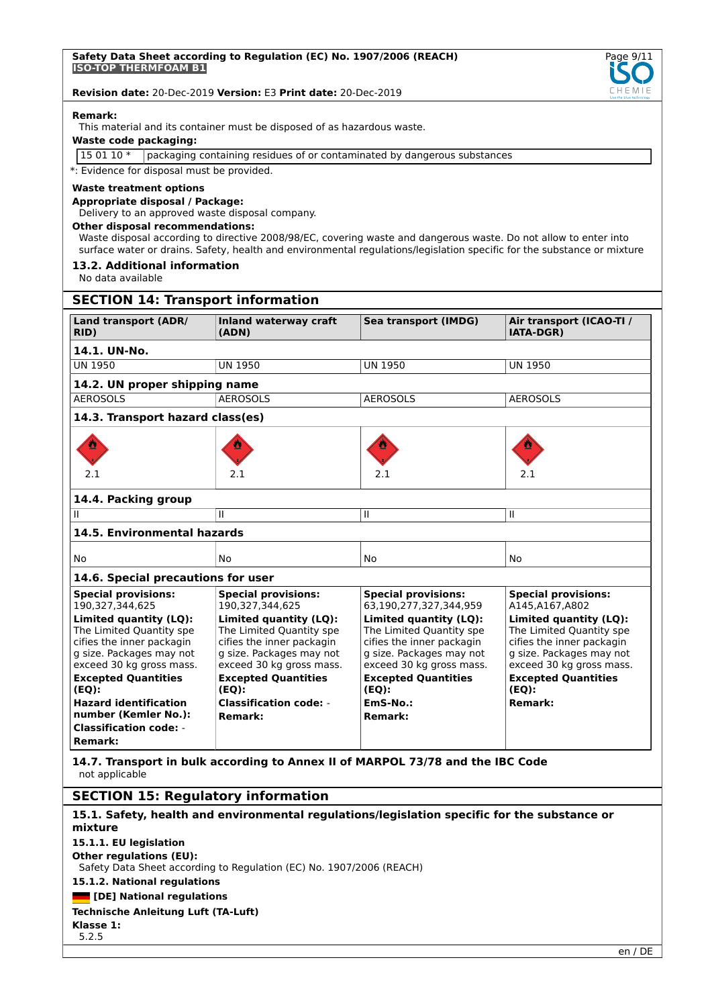

#### **Remark:**

This material and its container must be disposed of as hazardous waste.

#### **Waste code packaging:**

15 01 10 \* packaging containing residues of or contaminated by dangerous substances

\*: Evidence for disposal must be provided.

### **Waste treatment options**

## **Appropriate disposal / Package:**

Delivery to an approved waste disposal company.

#### **Other disposal recommendations:**

Waste disposal according to directive 2008/98/EC, covering waste and dangerous waste. Do not allow to enter into surface water or drains. Safety, health and environmental regulations/legislation specific for the substance or mixture

#### **13.2. Additional information**

No data available

## **SECTION 14: Transport information**

| <b>Land transport (ADR/</b><br>RID)                                                                                                     | <b>Inland waterway craft</b><br>(ADN)                                                                                                   | Sea transport (IMDG)                                                                                                                    | Air transport (ICAO-TI /<br><b>IATA-DGR)</b>                                                                                            |
|-----------------------------------------------------------------------------------------------------------------------------------------|-----------------------------------------------------------------------------------------------------------------------------------------|-----------------------------------------------------------------------------------------------------------------------------------------|-----------------------------------------------------------------------------------------------------------------------------------------|
| 14.1. UN-No.                                                                                                                            |                                                                                                                                         |                                                                                                                                         |                                                                                                                                         |
| <b>UN 1950</b>                                                                                                                          | <b>UN 1950</b>                                                                                                                          | <b>UN 1950</b>                                                                                                                          | <b>UN 1950</b>                                                                                                                          |
| 14.2. UN proper shipping name                                                                                                           |                                                                                                                                         |                                                                                                                                         |                                                                                                                                         |
| <b>AEROSOLS</b>                                                                                                                         | <b>AEROSOLS</b>                                                                                                                         | <b>AEROSOLS</b>                                                                                                                         | <b>AEROSOLS</b>                                                                                                                         |
| 14.3. Transport hazard class(es)                                                                                                        |                                                                                                                                         |                                                                                                                                         |                                                                                                                                         |
|                                                                                                                                         |                                                                                                                                         |                                                                                                                                         |                                                                                                                                         |
| 2.1                                                                                                                                     | 2.1                                                                                                                                     | 2.1                                                                                                                                     | 2.1                                                                                                                                     |
| 14.4. Packing group                                                                                                                     |                                                                                                                                         |                                                                                                                                         |                                                                                                                                         |
| $\mathbf{H}$                                                                                                                            | $\mathbf{H}$                                                                                                                            | $\mathbf{H}$                                                                                                                            | $\mathbf{I}$                                                                                                                            |
| 14.5. Environmental hazards                                                                                                             |                                                                                                                                         |                                                                                                                                         |                                                                                                                                         |
| <b>No</b>                                                                                                                               | <b>No</b>                                                                                                                               | <b>No</b>                                                                                                                               | <b>No</b>                                                                                                                               |
| 14.6. Special precautions for user                                                                                                      |                                                                                                                                         |                                                                                                                                         |                                                                                                                                         |
| <b>Special provisions:</b><br>190,327,344,625                                                                                           | <b>Special provisions:</b><br>190,327,344,625                                                                                           | <b>Special provisions:</b><br>63,190,277,327,344,959                                                                                    | <b>Special provisions:</b><br>A145,A167,A802                                                                                            |
| Limited quantity (LQ):<br>The Limited Quantity spe<br>cifies the inner packagin<br>g size. Packages may not<br>exceed 30 kg gross mass. | Limited quantity (LQ):<br>The Limited Quantity spe<br>cifies the inner packagin<br>g size. Packages may not<br>exceed 30 kg gross mass. | Limited quantity (LQ):<br>The Limited Quantity spe<br>cifies the inner packagin<br>g size. Packages may not<br>exceed 30 kg gross mass. | Limited quantity (LQ):<br>The Limited Quantity spe<br>cifies the inner packagin<br>g size. Packages may not<br>exceed 30 kg gross mass. |
| <b>Excepted Quantities</b><br>(EQ):                                                                                                     | <b>Excepted Quantities</b><br>(EQ):                                                                                                     | <b>Excepted Quantities</b><br>(EQ):                                                                                                     | <b>Excepted Quantities</b><br>(EQ):                                                                                                     |
| <b>Hazard identification</b><br>number (Kemler No.):<br><b>Classification code: -</b>                                                   | <b>Classification code: -</b><br><b>Remark:</b>                                                                                         | EmS-No.:<br><b>Remark:</b>                                                                                                              | <b>Remark:</b>                                                                                                                          |
| <b>Remark:</b>                                                                                                                          |                                                                                                                                         |                                                                                                                                         |                                                                                                                                         |

**14.7. Transport in bulk according to Annex II of MARPOL 73/78 and the IBC Code** not applicable

## **SECTION 15: Regulatory information**

## **15.1. Safety, health and environmental regulations/legislation specific for the substance or mixture**

## **15.1.1. EU legislation**

**Other regulations (EU):**

Safety Data Sheet according to Regulation (EC) No. 1907/2006 (REACH)

# **15.1.2. National regulations**

## **[DE] National regulations**

### **Technische Anleitung Luft (TA-Luft)**

**Klasse 1:** 5.2.5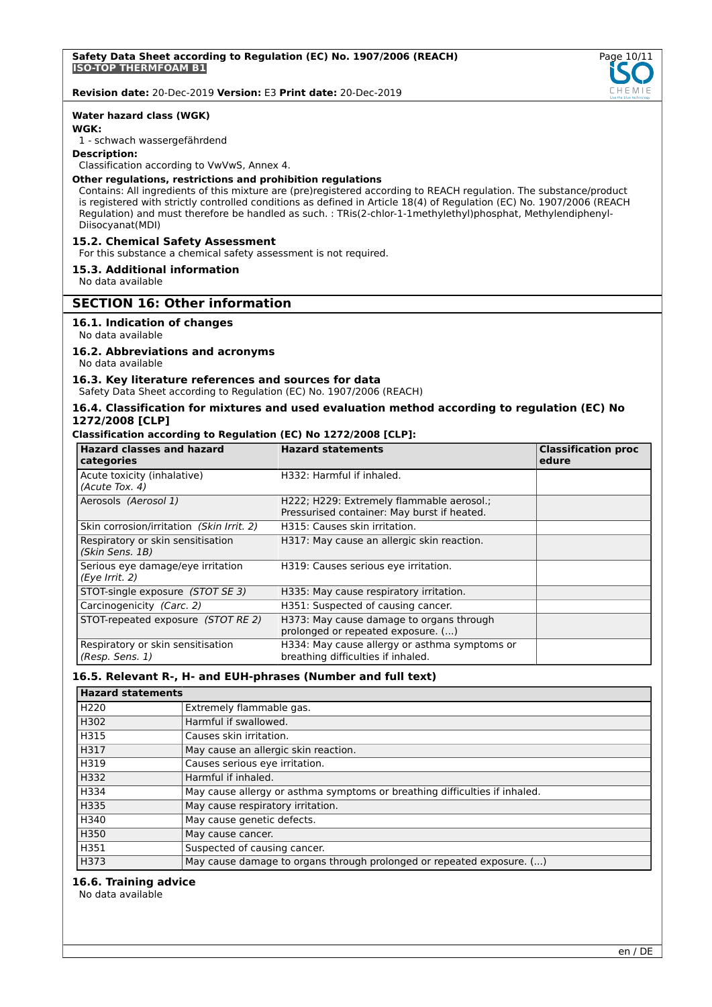

#### **Water hazard class (WGK)**

## **WGK:**

1 - schwach wassergefährdend

#### **Description:**

Classification according to VwVwS, Annex 4.

## **Other regulations, restrictions and prohibition regulations**

Contains: All ingredients of this mixture are (pre)registered according to REACH regulation. The substance/product is registered with strictly controlled conditions as defined in Article 18(4) of Regulation (EC) No. 1907/2006 (REACH Regulation) and must therefore be handled as such. : TRis(2-chlor-1-1methylethyl)phosphat, Methylendiphenyl-Diisocyanat(MDI)

## **15.2. Chemical Safety Assessment**

For this substance a chemical safety assessment is not required.

## **15.3. Additional information**

No data available

## **SECTION 16: Other information**

## **16.1. Indication of changes**

No data available

#### **16.2. Abbreviations and acronyms**

No data available

## **16.3. Key literature references and sources for data**

Safety Data Sheet according to Regulation (EC) No. 1907/2006 (REACH)

### **16.4. Classification for mixtures and used evaluation method according to regulation (EC) No 1272/2008 [CLP]**

#### **Classification according to Regulation (EC) No 1272/2008 [CLP]:**

| <b>Hazard classes and hazard</b><br>categories       | <b>Hazard statements</b>                                                                 | <b>Classification proc</b><br>edure |
|------------------------------------------------------|------------------------------------------------------------------------------------------|-------------------------------------|
| Acute toxicity (inhalative)<br>(Acute Tox. 4)        | H332: Harmful if inhaled.                                                                |                                     |
| Aerosols (Aerosol 1)                                 | H222; H229: Extremely flammable aerosol.;<br>Pressurised container: May burst if heated. |                                     |
| Skin corrosion/irritation (Skin Irrit. 2)            | H315: Causes skin irritation.                                                            |                                     |
| Respiratory or skin sensitisation<br>(Skin Sens. 1B) | H317: May cause an allergic skin reaction.                                               |                                     |
| Serious eye damage/eye irritation<br>(Eye Irrit. 2)  | H319: Causes serious eye irritation.                                                     |                                     |
| STOT-single exposure (STOT SE 3)                     | H335: May cause respiratory irritation.                                                  |                                     |
| Carcinogenicity (Carc. 2)                            | H351: Suspected of causing cancer.                                                       |                                     |
| STOT-repeated exposure (STOT RE 2)                   | H373: May cause damage to organs through<br>prolonged or repeated exposure. ()           |                                     |
| Respiratory or skin sensitisation<br>(Resp. Sens. 1) | H334: May cause allergy or asthma symptoms or<br>breathing difficulties if inhaled.      |                                     |

### **16.5. Relevant R-, H- and EUH-phrases (Number and full text)**

| <b>Hazard statements</b> |                                                                            |  |
|--------------------------|----------------------------------------------------------------------------|--|
| H <sub>220</sub>         | Extremely flammable gas.                                                   |  |
| H302                     | Harmful if swallowed.                                                      |  |
| H315                     | Causes skin irritation.                                                    |  |
| H317                     | May cause an allergic skin reaction.                                       |  |
| H319                     | Causes serious eye irritation.                                             |  |
| H332                     | Harmful if inhaled.                                                        |  |
| H334                     | May cause allergy or asthma symptoms or breathing difficulties if inhaled. |  |
| H335                     | May cause respiratory irritation.                                          |  |
| H340                     | May cause genetic defects.                                                 |  |
| H350                     | May cause cancer.                                                          |  |
| H351                     | Suspected of causing cancer.                                               |  |
| H373                     | May cause damage to organs through prolonged or repeated exposure. ()      |  |

#### **16.6. Training advice**

No data available